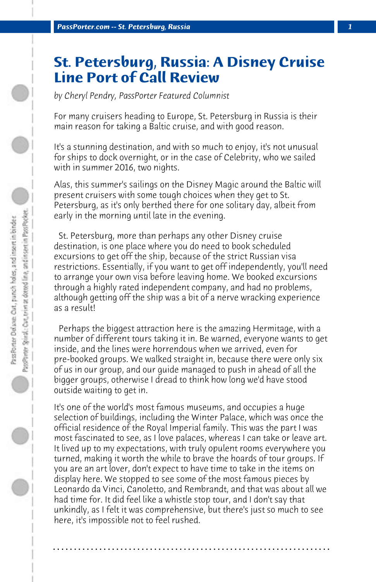## **St. Petersburg, Russia: A Disney Cruise Line Port of Call Review**

*by Cheryl Pendry, PassPorter Featured Columnist*

For many cruisers heading to Europe, St. Petersburg in Russia is their main reason for taking a Baltic cruise, and with good reason.

It's a stunning destination, and with so much to enjoy, it's not unusual for ships to dock overnight, or in the case of Celebrity, who we sailed with in summer 2016, two nights.

Alas, this summer's sailings on the Disney Magic around the Baltic will present cruisers with some tough choices when they get to St. Petersburg, as it's only berthed there for one solitary day, albeit from early in the morning until late in the evening.

 St. Petersburg, more than perhaps any other Disney cruise destination, is one place where you do need to book scheduled excursions to get off the ship, because of the strict Russian visa restrictions. Essentially, if you want to get off independently, you'll need to arrange your own visa before leaving home. We booked excursions through a highly rated independent company, and had no problems, although getting off the ship was a bit of a nerve wracking experience as a result!

 Perhaps the biggest attraction here is the amazing Hermitage, with a number of different tours taking it in. Be warned, everyone wants to get inside, and the lines were horrendous when we arrived, even for pre-booked groups. We walked straight in, because there were only six of us in our group, and our guide managed to push in ahead of all the bigger groups, otherwise I dread to think how long we'd have stood outside waiting to get in.

It's one of the world's most famous museums, and occupies a huge selection of buildings, including the Winter Palace, which was once the official residence of the Royal Imperial family. This was the part I was most fascinated to see, as I love palaces, whereas I can take or leave art. It lived up to my expectations, with truly opulent rooms everywhere you turned, making it worth the while to brave the hoards of tour groups. If you are an art lover, don't expect to have time to take in the items on display here. We stopped to see some of the most famous pieces by Leonardo da Vinci, Canoletto, and Rembrandt, and that was about all we had time for. It did feel like a whistle stop tour, and I don't say that unkindly, as I felt it was comprehensive, but there's just so much to see here, it's impossible not to feel rushed.

**. . . . . . . . . . . . . . . . . . . . . . . . . . . . . . . . . . . . . . . . . . . . . . . . . . . . . . . . . . . . . . . . . .**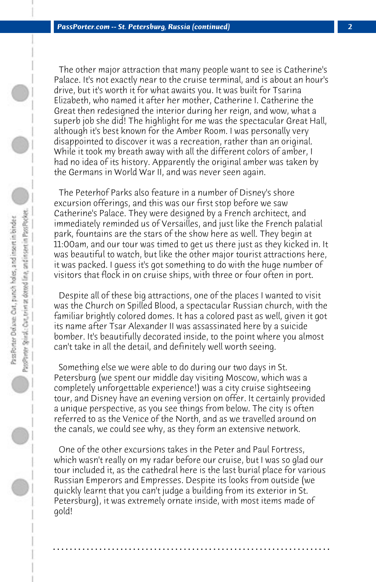The other major attraction that many people want to see is Catherine's Palace. It's not exactly near to the cruise terminal, and is about an hour's drive, but it's worth it for what awaits you. It was built for Tsarina Elizabeth, who named it after her mother, Catherine I. Catherine the Great then redesigned the interior during her reign, and wow, what a superb job she did! The highlight for me was the spectacular Great Hall, although it's best known for the Amber Room. I was personally very disappointed to discover it was a recreation, rather than an original. While it took my breath away with all the different colors of amber, I had no idea of its history. Apparently the original amber was taken by the Germans in World War II, and was never seen again.

 The Peterhof Parks also feature in a number of Disney's shore excursion offerings, and this was our first stop before we saw Catherine's Palace. They were designed by a French architect, and immediately reminded us of Versailles, and just like the French palatial park, fountains are the stars of the show here as well. They begin at 11:00am, and our tour was timed to get us there just as they kicked in. It was beautiful to watch, but like the other major tourist attractions here, it was packed. I guess it's got something to do with the huge number of visitors that flock in on cruise ships, with three or four often in port.

 Despite all of these big attractions, one of the places I wanted to visit was the Church on Spilled Blood, a spectacular Russian church, with the familiar brightly colored domes. It has a colored past as well, given it got its name after Tsar Alexander II was assassinated here by a suicide bomber. It's beautifully decorated inside, to the point where you almost can't take in all the detail, and definitely well worth seeing.

 Something else we were able to do during our two days in St. Petersburg (we spent our middle day visiting Moscow, which was a completely unforgettable experience!) was a city cruise sightseeing tour, and Disney have an evening version on offer. It certainly provided a unique perspective, as you see things from below. The city is often referred to as the Venice of the North, and as we travelled around on the canals, we could see why, as they form an extensive network.

 One of the other excursions takes in the Peter and Paul Fortress, which wasn't really on my radar before our cruise, but I was so glad our tour included it, as the cathedral here is the last burial place for various Russian Emperors and Empresses. Despite its looks from outside (we quickly learnt that you can't judge a building from its exterior in St. Petersburg), it was extremely ornate inside, with most items made of gold!

**. . . . . . . . . . . . . . . . . . . . . . . . . . . . . . . . . . . . . . . . . . . . . . . . . . . . . . . . . . . . . . . . . .**